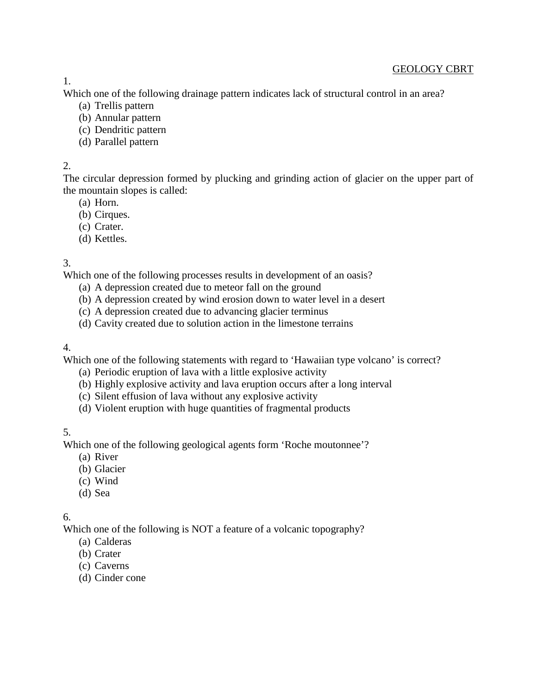GEOLOGY CBRT

Which one of the following drainage pattern indicates lack of structural control in an area?

- (a) Trellis pattern
- (b) Annular pattern
- (c) Dendritic pattern
- (d) Parallel pattern

## 2.

The circular depression formed by plucking and grinding action of glacier on the upper part of the mountain slopes is called:

- (a) Horn.
- (b) Cirques.
- (c) Crater.
- (d) Kettles.

# 3.

Which one of the following processes results in development of an oasis?

- (a) A depression created due to meteor fall on the ground
- (b) A depression created by wind erosion down to water level in a desert
- (c) A depression created due to advancing glacier terminus
- (d) Cavity created due to solution action in the limestone terrains

# 4.

Which one of the following statements with regard to 'Hawaiian type volcano' is correct?

- (a) Periodic eruption of lava with a little explosive activity
- (b) Highly explosive activity and lava eruption occurs after a long interval
- (c) Silent effusion of lava without any explosive activity
- (d) Violent eruption with huge quantities of fragmental products

# 5.

Which one of the following geological agents form 'Roche moutonnee'?

- (a) River
- (b) Glacier
- (c) Wind
- (d) Sea

# 6.

Which one of the following is NOT a feature of a volcanic topography?

- (a) Calderas
- (b) Crater
- (c) Caverns
- (d) Cinder cone

1.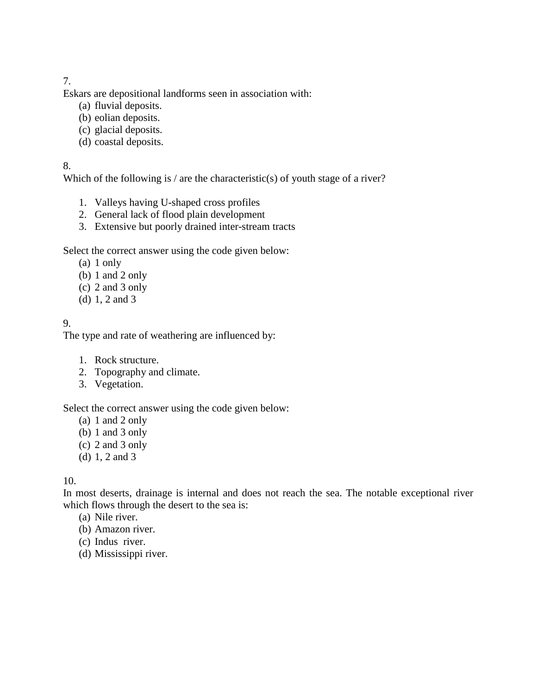Eskars are depositional landforms seen in association with:

- (a) fluvial deposits.
- (b) eolian deposits.
- (c) glacial deposits.
- (d) coastal deposits.

#### 8.

Which of the following is / are the characteristic(s) of youth stage of a river?

- 1. Valleys having U-shaped cross profiles
- 2. General lack of flood plain development
- 3. Extensive but poorly drained inter-stream tracts

### Select the correct answer using the code given below:

- (a) 1 only
- (b) 1 and 2 only
- (c) 2 and 3 only
- (d) 1, 2 and 3

# 9.

The type and rate of weathering are influenced by:

- 1. Rock structure.
- 2. Topography and climate.
- 3. Vegetation.

Select the correct answer using the code given below:

- (a) 1 and 2 only
- (b) 1 and 3 only
- (c) 2 and 3 only
- (d) 1, 2 and 3

### 10.

In most deserts, drainage is internal and does not reach the sea. The notable exceptional river which flows through the desert to the sea is:

- (a) Nile river.
- (b) Amazon river.
- (c) Indus river.
- (d) Mississippi river.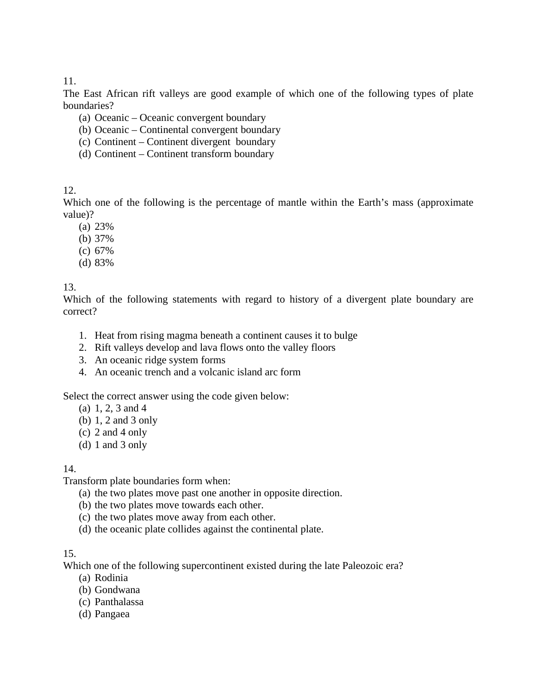The East African rift valleys are good example of which one of the following types of plate boundaries?

- (a) Oceanic Oceanic convergent boundary
- (b) Oceanic Continental convergent boundary
- (c) Continent Continent divergent boundary
- (d) Continent Continent transform boundary

12.

Which one of the following is the percentage of mantle within the Earth's mass (approximate value)?

- (a) 23%
- (b) 37%
- (c) 67%
- (d) 83%

### 13.

Which of the following statements with regard to history of a divergent plate boundary are correct?

- 1. Heat from rising magma beneath a continent causes it to bulge
- 2. Rift valleys develop and lava flows onto the valley floors
- 3. An oceanic ridge system forms
- 4. An oceanic trench and a volcanic island arc form

Select the correct answer using the code given below:

- (a) 1, 2, 3 and 4
- (b) 1, 2 and 3 only
- (c) 2 and 4 only
- (d) 1 and 3 only

#### 14.

Transform plate boundaries form when:

- (a) the two plates move past one another in opposite direction.
- (b) the two plates move towards each other.
- (c) the two plates move away from each other.
- (d) the oceanic plate collides against the continental plate.

#### 15.

Which one of the following supercontinent existed during the late Paleozoic era?

- (a) Rodinia
- (b) Gondwana
- (c) Panthalassa
- (d) Pangaea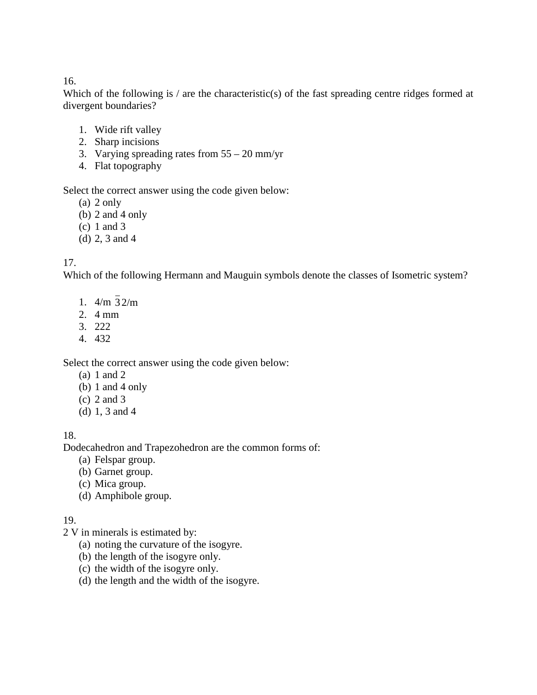Which of the following is / are the characteristic(s) of the fast spreading centre ridges formed at divergent boundaries?

- 1. Wide rift valley
- 2. Sharp incisions
- 3. Varying spreading rates from 55 20 mm/yr
- 4. Flat topography

Select the correct answer using the code given below:

- (a) 2 only
- (b) 2 and 4 only
- (c) 1 and 3
- (d) 2, 3 and 4

# 17.

Which of the following Hermann and Mauguin symbols denote the classes of Isometric system?

- 1. 4/m 3 2/m
- 2. 4 mm
- 3. 222
- 4. 432

Select the correct answer using the code given below:

- (a) 1 and 2
- (b) 1 and 4 only
- (c) 2 and 3
- (d) 1, 3 and 4

# 18.

Dodecahedron and Trapezohedron are the common forms of:

- (a) Felspar group.
- (b) Garnet group.
- (c) Mica group.
- (d) Amphibole group.

# 19.

- 2 V in minerals is estimated by:
	- (a) noting the curvature of the isogyre.
	- (b) the length of the isogyre only.
	- (c) the width of the isogyre only.
	- (d) the length and the width of the isogyre.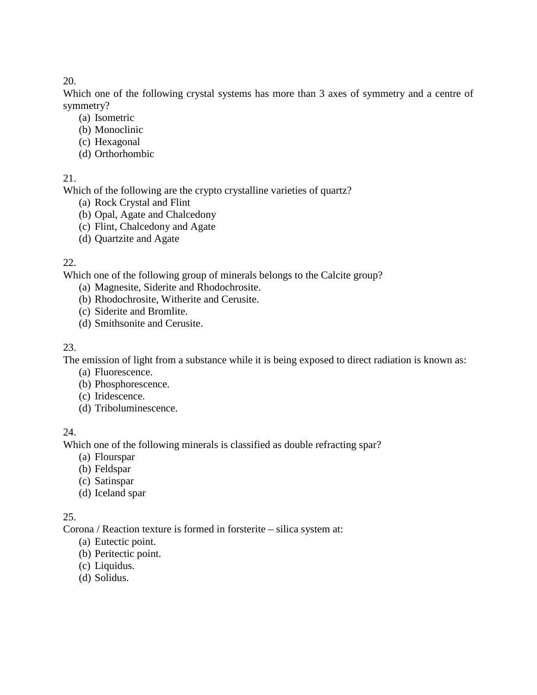Which one of the following crystal systems has more than 3 axes of symmetry and a centre of symmetry?

- (a) Isometric
- (b) Monoclinic
- (c) Hexagonal
- (d) Orthorhombic

# 21.

Which of the following are the crypto crystalline varieties of quartz?

- (a) Rock Crystal and Flint
- (b) Opal, Agate and Chalcedony
- (c) Flint, Chalcedony and Agate
- (d) Quartzite and Agate

# 22.

Which one of the following group of minerals belongs to the Calcite group?

- (a) Magnesite, Siderite and Rhodochrosite.
- (b) Rhodochrosite, Witherite and Cerusite.
- (c) Siderite and Bromlite.
- (d) Smithsonite and Cerusite.

# 23.

The emission of light from a substance while it is being exposed to direct radiation is known as:

- (a) Fluorescence.
- (b) Phosphorescence.
- (c) Iridescence.
- (d) Triboluminescence.

# 24.

Which one of the following minerals is classified as double refracting spar?

- (a) Flourspar
- (b) Feldspar
- (c) Satinspar
- (d) Iceland spar

# 25.

Corona / Reaction texture is formed in forsterite – silica system at:

- (a) Eutectic point.
- (b) Peritectic point.
- (c) Liquidus.
- (d) Solidus.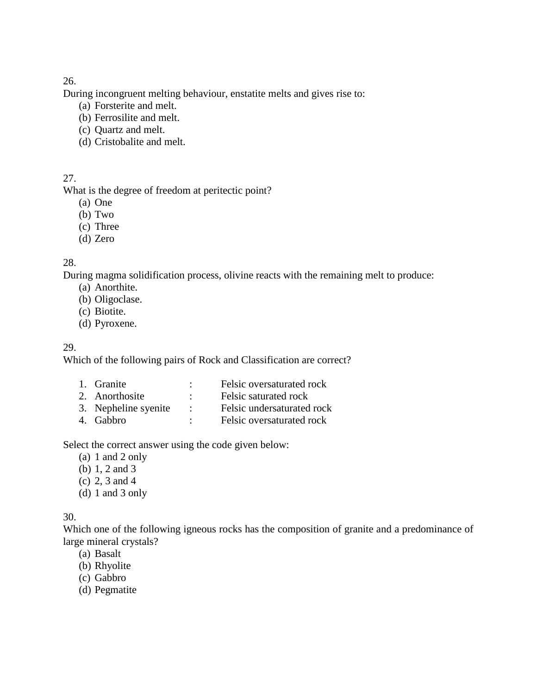During incongruent melting behaviour, enstatite melts and gives rise to:

- (a) Forsterite and melt.
- (b) Ferrosilite and melt.
- (c) Quartz and melt.
- (d) Cristobalite and melt.

# 27.

What is the degree of freedom at peritectic point?

- (a) One
- (b) Two
- (c) Three
- (d) Zero

# 28.

During magma solidification process, olivine reacts with the remaining melt to produce:

- (a) Anorthite.
- (b) Oligoclase.
- (c) Biotite.
- (d) Pyroxene.

## 29.

Which of the following pairs of Rock and Classification are correct?

1. Granite : Felsic oversaturated rock 2. Anorthosite : Felsic saturated rock 3. Nepheline syenite : Felsic undersaturated rock 4. Gabbro : Felsic oversaturated rock

Select the correct answer using the code given below:

- (a) 1 and 2 only
- (b) 1, 2 and 3
- (c) 2, 3 and 4
- (d) 1 and 3 only

### 30.

Which one of the following igneous rocks has the composition of granite and a predominance of large mineral crystals?

- (a) Basalt
- (b) Rhyolite
- (c) Gabbro
- (d) Pegmatite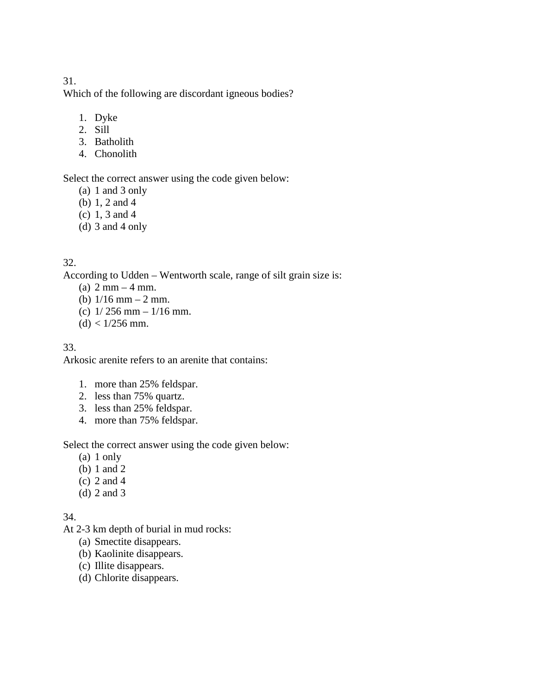Which of the following are discordant igneous bodies?

- 1. Dyke
- 2. Sill
- 3. Batholith
- 4. Chonolith

Select the correct answer using the code given below:

- (a) 1 and 3 only
- (b) 1, 2 and 4
- (c) 1, 3 and 4
- (d) 3 and 4 only

### 32.

According to Udden – Wentworth scale, range of silt grain size is:

- (a)  $2 \text{ mm} 4 \text{ mm}$ .
- (b)  $1/16$  mm  $-2$  mm.
- (c)  $1/256$  mm  $-1/16$  mm.
- $(d) < 1/256$  mm.

### 33.

Arkosic arenite refers to an arenite that contains:

- 1. more than 25% feldspar.
- 2. less than 75% quartz.
- 3. less than 25% feldspar.
- 4. more than 75% feldspar.

Select the correct answer using the code given below:

- (a) 1 only
- (b) 1 and 2
- (c) 2 and 4
- (d) 2 and 3

34.

- At 2-3 km depth of burial in mud rocks:
	- (a) Smectite disappears.
	- (b) Kaolinite disappears.
	- (c) Illite disappears.
	- (d) Chlorite disappears.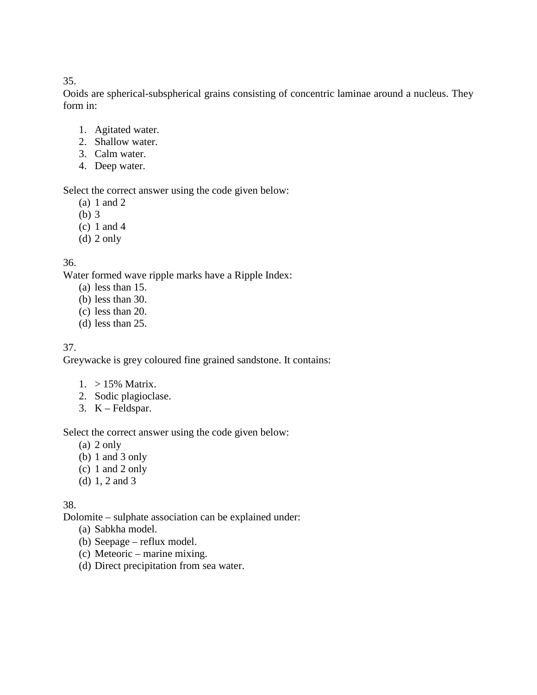Ooids are spherical-subspherical grains consisting of concentric laminae around a nucleus. They form in:

- 1. Agitated water.
- 2. Shallow water.
- 3. Calm water.
- 4. Deep water.

Select the correct answer using the code given below:

- (a) 1 and 2
- (b) 3
- (c) 1 and 4
- (d) 2 only

# 36.

Water formed wave ripple marks have a Ripple Index:

- (a) less than 15.
- (b) less than 30.
- (c) less than 20.
- (d) less than 25.

# 37.

Greywacke is grey coloured fine grained sandstone. It contains:

- 1. > 15% Matrix.
- 2. Sodic plagioclase.
- 3. K Feldspar.

Select the correct answer using the code given below:

- (a) 2 only
- (b) 1 and 3 only
- (c) 1 and 2 only
- (d) 1, 2 and 3

# 38.

Dolomite – sulphate association can be explained under:

- (a) Sabkha model.
- (b) Seepage reflux model.
- (c) Meteoric marine mixing.
- (d) Direct precipitation from sea water.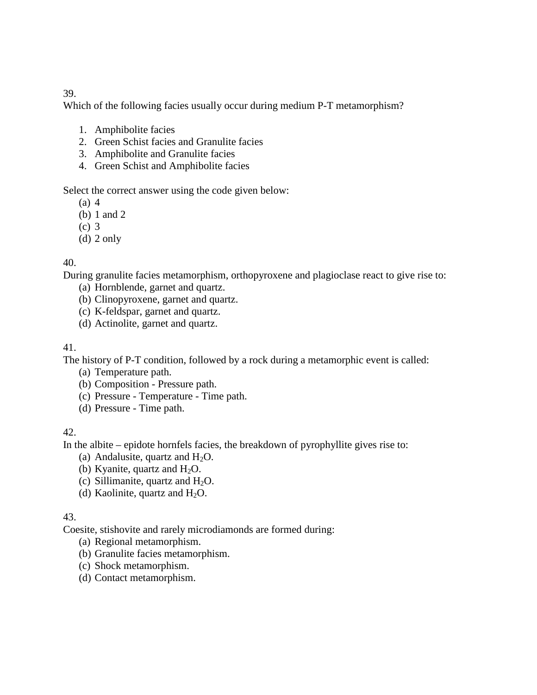Which of the following facies usually occur during medium P-T metamorphism?

- 1. Amphibolite facies
- 2. Green Schist facies and Granulite facies
- 3. Amphibolite and Granulite facies
- 4. Green Schist and Amphibolite facies

Select the correct answer using the code given below:

- $(a)$  4
- (b) 1 and 2
- (c) 3
- (d) 2 only

# 40.

During granulite facies metamorphism, orthopyroxene and plagioclase react to give rise to:

- (a) Hornblende, garnet and quartz.
- (b) Clinopyroxene, garnet and quartz.
- (c) K-feldspar, garnet and quartz.
- (d) Actinolite, garnet and quartz.

## 41.

The history of P-T condition, followed by a rock during a metamorphic event is called:

- (a) Temperature path.
- (b) Composition Pressure path.
- (c) Pressure Temperature Time path.
- (d) Pressure Time path.

### 42.

In the albite – epidote hornfels facies, the breakdown of pyrophyllite gives rise to:

- (a) Andalusite, quartz and  $H_2O$ .
- (b) Kyanite, quartz and  $H_2O$ .
- (c) Sillimanite, quartz and  $H_2O$ .
- (d) Kaolinite, quartz and  $H_2O$ .

### 43.

Coesite, stishovite and rarely microdiamonds are formed during:

- (a) Regional metamorphism.
- (b) Granulite facies metamorphism.
- (c) Shock metamorphism.
- (d) Contact metamorphism.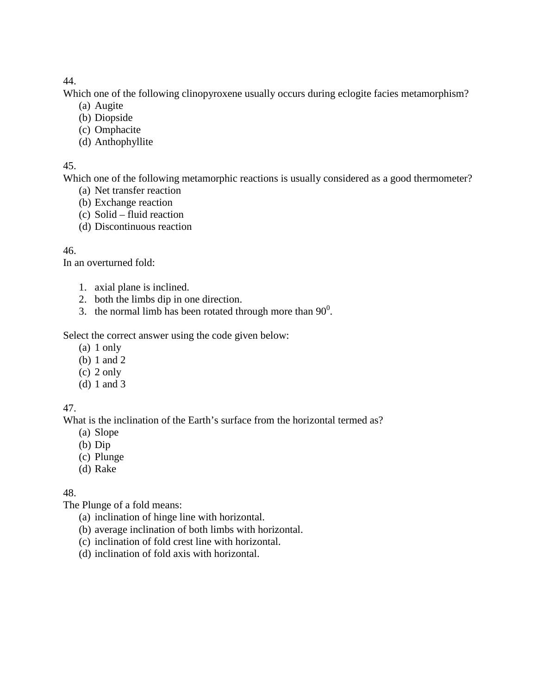Which one of the following clinopyroxene usually occurs during eclogite facies metamorphism?

- (a) Augite
- (b) Diopside
- (c) Omphacite
- (d) Anthophyllite

## 45.

Which one of the following metamorphic reactions is usually considered as a good thermometer?

- (a) Net transfer reaction
- (b) Exchange reaction
- (c) Solid fluid reaction
- (d) Discontinuous reaction

# 46.

In an overturned fold:

- 1. axial plane is inclined.
- 2. both the limbs dip in one direction.
- 3. the normal limb has been rotated through more than  $90^\circ$ .

Select the correct answer using the code given below:

- (a) 1 only
- (b) 1 and 2
- (c) 2 only
- (d) 1 and 3

# 47.

What is the inclination of the Earth's surface from the horizontal termed as?

- (a) Slope
- (b) Dip
- (c) Plunge
- (d) Rake

# 48.

The Plunge of a fold means:

- (a) inclination of hinge line with horizontal.
- (b) average inclination of both limbs with horizontal.
- (c) inclination of fold crest line with horizontal.
- (d) inclination of fold axis with horizontal.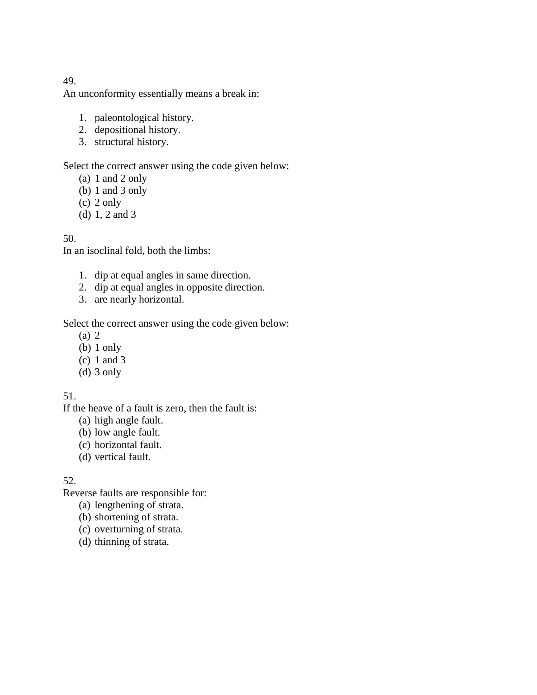An unconformity essentially means a break in:

- 1. paleontological history.
- 2. depositional history.
- 3. structural history.

Select the correct answer using the code given below:

- (a) 1 and 2 only
- (b) 1 and 3 only
- (c) 2 only
- (d) 1, 2 and 3

#### 50.

In an isoclinal fold, both the limbs:

- 1. dip at equal angles in same direction.
- 2. dip at equal angles in opposite direction.
- 3. are nearly horizontal.

Select the correct answer using the code given below:

- (a) 2
- (b) 1 only
- (c) 1 and 3
- (d)  $3$  only

#### 51.

If the heave of a fault is zero, then the fault is:

- (a) high angle fault.
- (b) low angle fault.
- (c) horizontal fault.
- (d) vertical fault.

#### 52.

Reverse faults are responsible for:

- (a) lengthening of strata.
- (b) shortening of strata.
- (c) overturning of strata.
- (d) thinning of strata.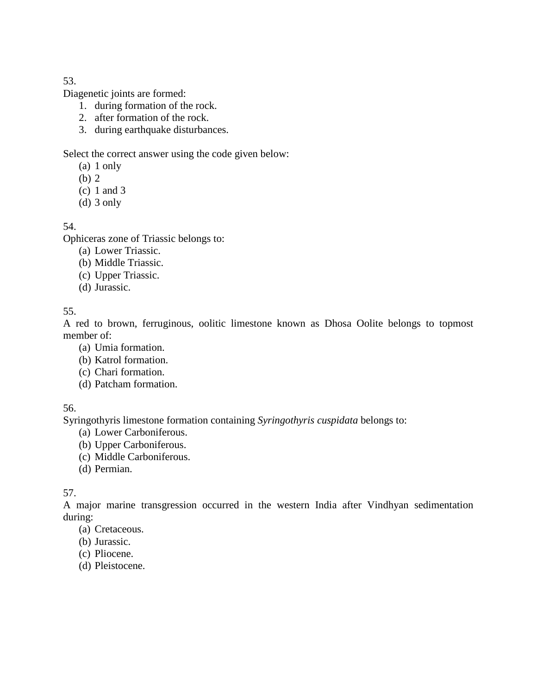Diagenetic joints are formed:

- 1. during formation of the rock.
- 2. after formation of the rock.
- 3. during earthquake disturbances.

Select the correct answer using the code given below:

- (a) 1 only
- (b) 2
- (c) 1 and 3
- (d) 3 only

54.

Ophiceras zone of Triassic belongs to:

- (a) Lower Triassic.
- (b) Middle Triassic.
- (c) Upper Triassic.
- (d) Jurassic.

55.

A red to brown, ferruginous, oolitic limestone known as Dhosa Oolite belongs to topmost member of:

- (a) Umia formation.
- (b) Katrol formation.
- (c) Chari formation.
- (d) Patcham formation.

# 56.

Syringothyris limestone formation containing *Syringothyris cuspidata* belongs to:

- (a) Lower Carboniferous.
- (b) Upper Carboniferous.
- (c) Middle Carboniferous.
- (d) Permian.

# 57.

A major marine transgression occurred in the western India after Vindhyan sedimentation during:

- (a) Cretaceous.
- (b) Jurassic.
- (c) Pliocene.
- (d) Pleistocene.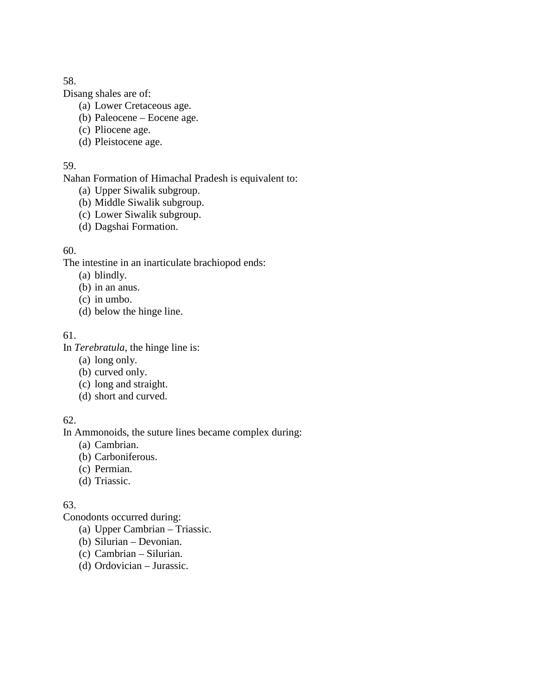Disang shales are of:

- (a) Lower Cretaceous age.
- (b) Paleocene Eocene age.
- (c) Pliocene age.
- (d) Pleistocene age.

### 59.

Nahan Formation of Himachal Pradesh is equivalent to:

- (a) Upper Siwalik subgroup.
- (b) Middle Siwalik subgroup.
- (c) Lower Siwalik subgroup.
- (d) Dagshai Formation.

# 60.

The intestine in an inarticulate brachiopod ends:

- (a) blindly.
- (b) in an anus.
- (c) in umbo.
- (d) below the hinge line.

# 61.

In *Terebratula*, the hinge line is:

- (a) long only.
- (b) curved only.
- (c) long and straight.
- (d) short and curved.

# 62.

In Ammonoids, the suture lines became complex during:

- (a) Cambrian.
- (b) Carboniferous.
- (c) Permian.
- (d) Triassic.

# 63.

Conodonts occurred during:

- (a) Upper Cambrian Triassic.
- (b) Silurian Devonian.
- (c) Cambrian Silurian.
- (d) Ordovician Jurassic.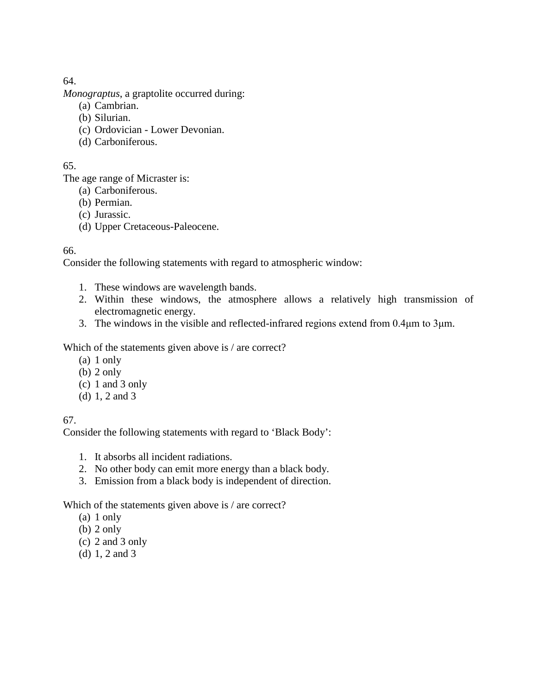*Monograptus*, a graptolite occurred during:

- (a) Cambrian.
- (b) Silurian.
- (c) Ordovician Lower Devonian.
- (d) Carboniferous.

## 65.

The age range of Micraster is:

- (a) Carboniferous.
- (b) Permian.
- (c) Jurassic.
- (d) Upper Cretaceous-Paleocene.

# 66.

Consider the following statements with regard to atmospheric window:

- 1. These windows are wavelength bands.
- 2. Within these windows, the atmosphere allows a relatively high transmission of electromagnetic energy.
- 3. The windows in the visible and reflected-infrared regions extend from 0.4μm to 3μm.

Which of the statements given above is / are correct?

- (a) 1 only
- (b) 2 only
- (c) 1 and 3 only
- (d) 1, 2 and 3

# 67.

Consider the following statements with regard to 'Black Body':

- 1. It absorbs all incident radiations.
- 2. No other body can emit more energy than a black body.
- 3. Emission from a black body is independent of direction.

Which of the statements given above is / are correct?

- (a) 1 only
- (b) 2 only
- (c) 2 and 3 only
- (d) 1, 2 and 3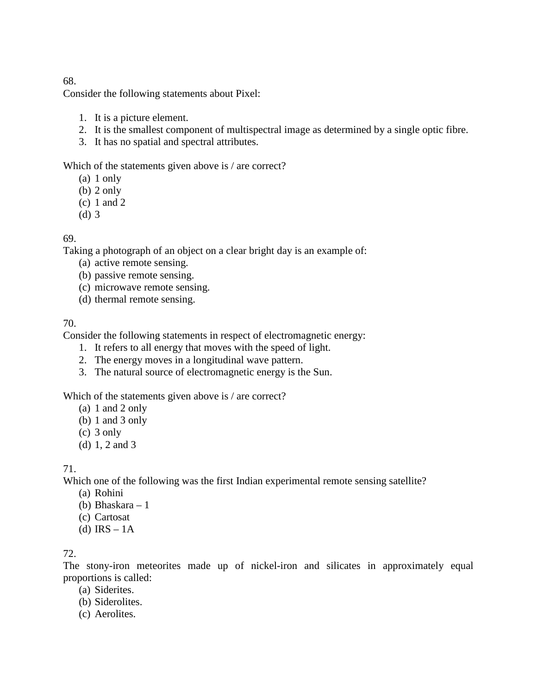Consider the following statements about Pixel:

- 1. It is a picture element.
- 2. It is the smallest component of multispectral image as determined by a single optic fibre.
- 3. It has no spatial and spectral attributes.

Which of the statements given above is / are correct?

- (a) 1 only
- (b) 2 only
- (c) 1 and 2
- (d) 3

### 69.

Taking a photograph of an object on a clear bright day is an example of:

- (a) active remote sensing.
- (b) passive remote sensing.
- (c) microwave remote sensing.
- (d) thermal remote sensing.

#### 70.

Consider the following statements in respect of electromagnetic energy:

- 1. It refers to all energy that moves with the speed of light.
- 2. The energy moves in a longitudinal wave pattern.
- 3. The natural source of electromagnetic energy is the Sun.

Which of the statements given above is / are correct?

- (a) 1 and 2 only
- (b) 1 and 3 only
- (c) 3 only
- (d) 1, 2 and 3

71.

Which one of the following was the first Indian experimental remote sensing satellite?

- (a) Rohini
- (b) Bhaskara 1
- (c) Cartosat
- (d)  $IRS 1A$

### 72.

The stony-iron meteorites made up of nickel-iron and silicates in approximately equal proportions is called:

- (a) Siderites.
- (b) Siderolites.
- (c) Aerolites.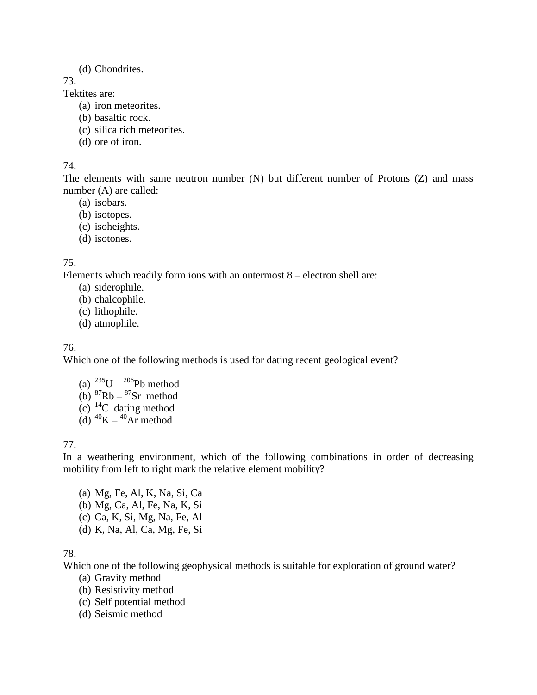#### (d) Chondrites.

73.

Tektites are:

- (a) iron meteorites.
- (b) basaltic rock.
- (c) silica rich meteorites.
- (d) ore of iron.

#### 74.

The elements with same neutron number (N) but different number of Protons (Z) and mass number (A) are called:

- (a) isobars.
- (b) isotopes.
- (c) isoheights.
- (d) isotones.

# 75.

Elements which readily form ions with an outermost 8 – electron shell are:

- (a) siderophile.
- (b) chalcophile.
- (c) lithophile.
- (d) atmophile.

# 76.

Which one of the following methods is used for dating recent geological event?

(a)  $^{235}U - ^{206}Pb$  method (b)  ${}^{87}Rb - {}^{87}Sr$  method (c)  $^{14}$ C dating method (d)  ${}^{40}$ K –  ${}^{40}$ Ar method

# 77.

In a weathering environment, which of the following combinations in order of decreasing mobility from left to right mark the relative element mobility?

(a) Mg, Fe, Al, K, Na, Si, Ca (b) Mg, Ca, Al, Fe, Na, K, Si (c) Ca, K, Si, Mg, Na, Fe, Al (d) K, Na, Al, Ca, Mg, Fe, Si

# 78.

Which one of the following geophysical methods is suitable for exploration of ground water?

- (a) Gravity method
- (b) Resistivity method
- (c) Self potential method
- (d) Seismic method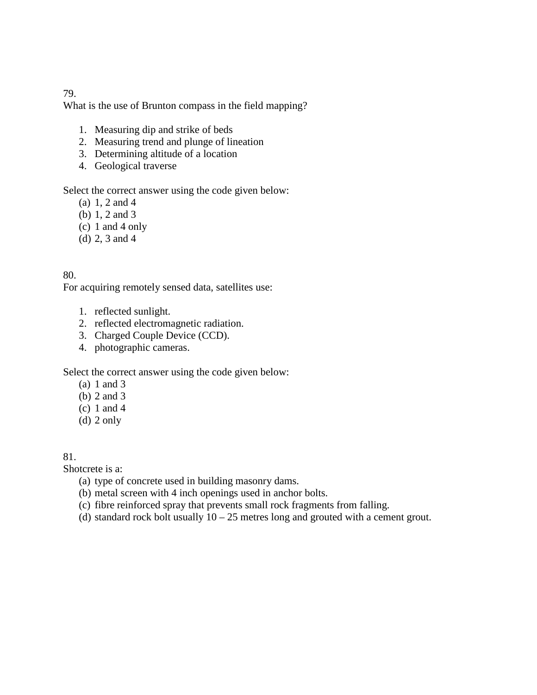What is the use of Brunton compass in the field mapping?

- 1. Measuring dip and strike of beds
- 2. Measuring trend and plunge of lineation
- 3. Determining altitude of a location
- 4. Geological traverse

Select the correct answer using the code given below:

- (a) 1, 2 and 4
- (b) 1, 2 and 3
- (c) 1 and 4 only
- (d) 2, 3 and 4

# 80.

For acquiring remotely sensed data, satellites use:

- 1. reflected sunlight.
- 2. reflected electromagnetic radiation.
- 3. Charged Couple Device (CCD).
- 4. photographic cameras.

Select the correct answer using the code given below:

- (a) 1 and 3
- (b) 2 and 3
- (c) 1 and 4
- (d) 2 only

#### 81.

Shotcrete is a:

- (a) type of concrete used in building masonry dams.
- (b) metal screen with 4 inch openings used in anchor bolts.
- (c) fibre reinforced spray that prevents small rock fragments from falling.
- (d) standard rock bolt usually  $10 25$  metres long and grouted with a cement grout.

#### 79.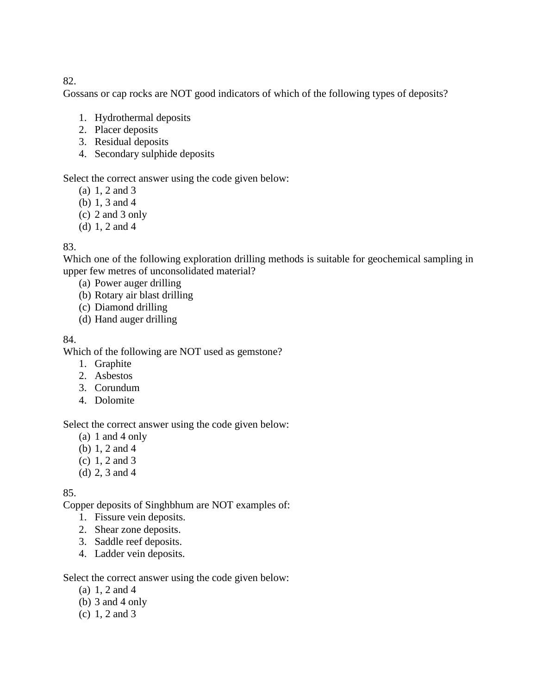Gossans or cap rocks are NOT good indicators of which of the following types of deposits?

- 1. Hydrothermal deposits
- 2. Placer deposits
- 3. Residual deposits
- 4. Secondary sulphide deposits

### Select the correct answer using the code given below:

- (a) 1, 2 and 3
- (b) 1, 3 and 4
- (c) 2 and 3 only
- (d) 1, 2 and 4

### 83.

Which one of the following exploration drilling methods is suitable for geochemical sampling in upper few metres of unconsolidated material?

- (a) Power auger drilling
- (b) Rotary air blast drilling
- (c) Diamond drilling
- (d) Hand auger drilling

#### 84.

Which of the following are NOT used as gemstone?

- 1. Graphite
- 2. Asbestos
- 3. Corundum
- 4. Dolomite

Select the correct answer using the code given below:

- (a) 1 and 4 only
- (b) 1, 2 and 4
- (c) 1, 2 and 3
- (d) 2, 3 and 4

### 85.

Copper deposits of Singhbhum are NOT examples of:

- 1. Fissure vein deposits.
- 2. Shear zone deposits.
- 3. Saddle reef deposits.
- 4. Ladder vein deposits.

Select the correct answer using the code given below:

- (a) 1, 2 and 4
- (b)  $3$  and  $4$  only
- (c) 1, 2 and 3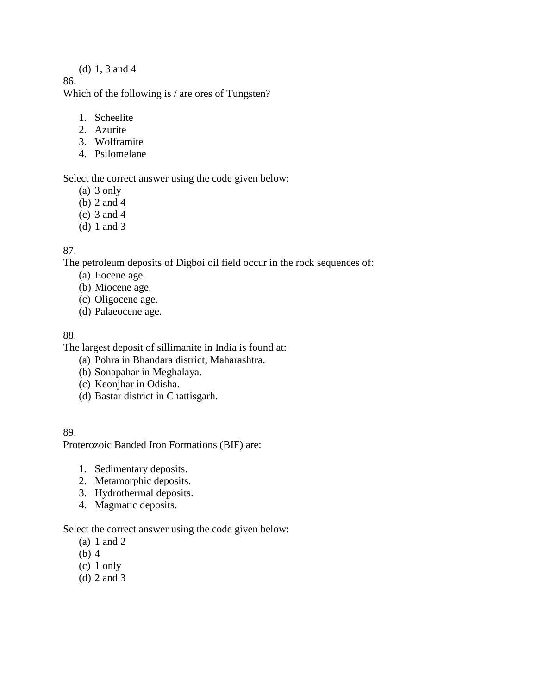#### (d) 1, 3 and 4

#### 86.

Which of the following is / are ores of Tungsten?

- 1. Scheelite
- 2. Azurite
- 3. Wolframite
- 4. Psilomelane

Select the correct answer using the code given below:

- (a) 3 only
- (b) 2 and 4
- (c) 3 and 4
- (d) 1 and 3

### 87.

The petroleum deposits of Digboi oil field occur in the rock sequences of:

- (a) Eocene age.
- (b) Miocene age.
- (c) Oligocene age.
- (d) Palaeocene age.

#### 88.

The largest deposit of sillimanite in India is found at:

- (a) Pohra in Bhandara district, Maharashtra.
- (b) Sonapahar in Meghalaya.
- (c) Keonjhar in Odisha.
- (d) Bastar district in Chattisgarh.

#### 89.

Proterozoic Banded Iron Formations (BIF) are:

- 1. Sedimentary deposits.
- 2. Metamorphic deposits.
- 3. Hydrothermal deposits.
- 4. Magmatic deposits.

Select the correct answer using the code given below:

- (a) 1 and 2
- (b) 4
- (c) 1 only
- (d) 2 and 3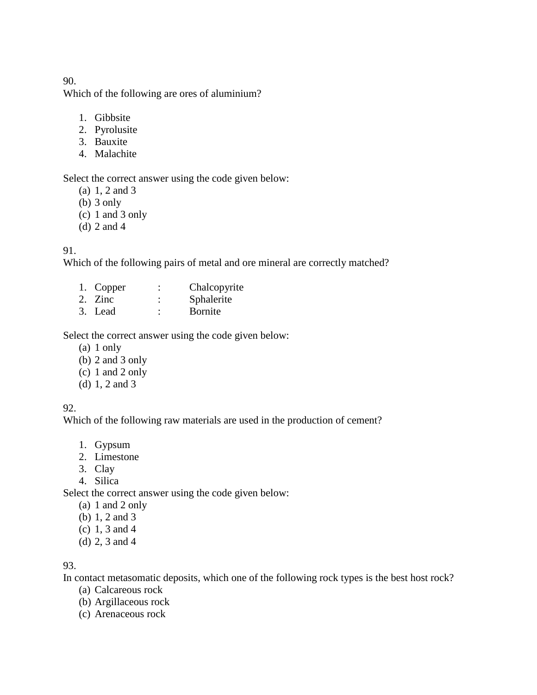Which of the following are ores of aluminium?

- 1. Gibbsite
- 2. Pyrolusite
- 3. Bauxite
- 4. Malachite

Select the correct answer using the code given below:

- (a) 1, 2 and 3
- (b) 3 only
- (c) 1 and 3 only
- (d) 2 and 4

#### 91.

Which of the following pairs of metal and ore mineral are correctly matched?

- 1. Copper : Chalcopyrite
- 2. Zinc : Sphalerite<br>3 Lead : Bornite
- $3.$  Lead  $\cdot$

Select the correct answer using the code given below:

- (a) 1 only
- (b) 2 and 3 only
- (c) 1 and 2 only
- (d) 1, 2 and 3

### 92.

Which of the following raw materials are used in the production of cement?

- 1. Gypsum
- 2. Limestone
- 3. Clay
- 4. Silica

Select the correct answer using the code given below:

- (a) 1 and 2 only
- (b) 1, 2 and 3
- (c) 1, 3 and 4
- (d) 2, 3 and 4

## 93.

In contact metasomatic deposits, which one of the following rock types is the best host rock?

- (a) Calcareous rock
- (b) Argillaceous rock
- (c) Arenaceous rock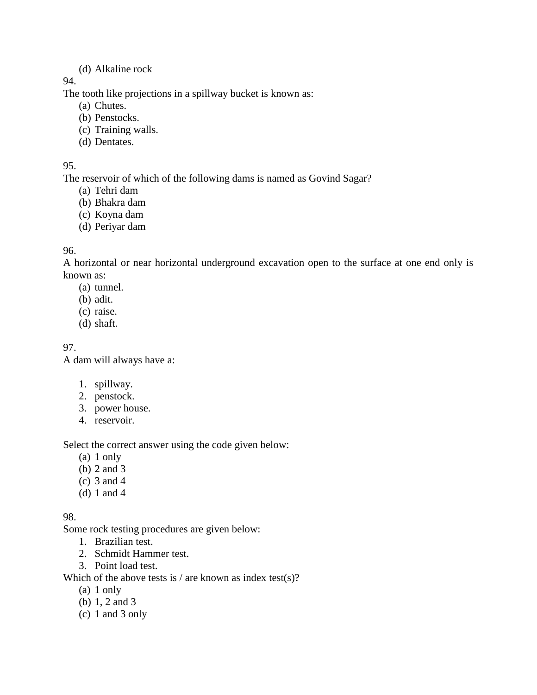#### (d) Alkaline rock

94.

The tooth like projections in a spillway bucket is known as:

- (a) Chutes.
- (b) Penstocks.
- (c) Training walls.
- (d) Dentates.

95.

The reservoir of which of the following dams is named as Govind Sagar?

- (a) Tehri dam
- (b) Bhakra dam
- (c) Koyna dam
- (d) Periyar dam

# 96.

A horizontal or near horizontal underground excavation open to the surface at one end only is known as:

- (a) tunnel.
- (b) adit.
- (c) raise.
- (d) shaft.

97.

A dam will always have a:

- 1. spillway.
- 2. penstock.
- 3. power house.
- 4. reservoir.

Select the correct answer using the code given below:

- (a) 1 only
- (b) 2 and 3
- (c) 3 and 4
- (d) 1 and 4

98.

Some rock testing procedures are given below:

- 1. Brazilian test.
- 2. Schmidt Hammer test.
- 3. Point load test.

Which of the above tests is / are known as index test(s)?

- (a) 1 only
- (b) 1, 2 and 3
- (c) 1 and 3 only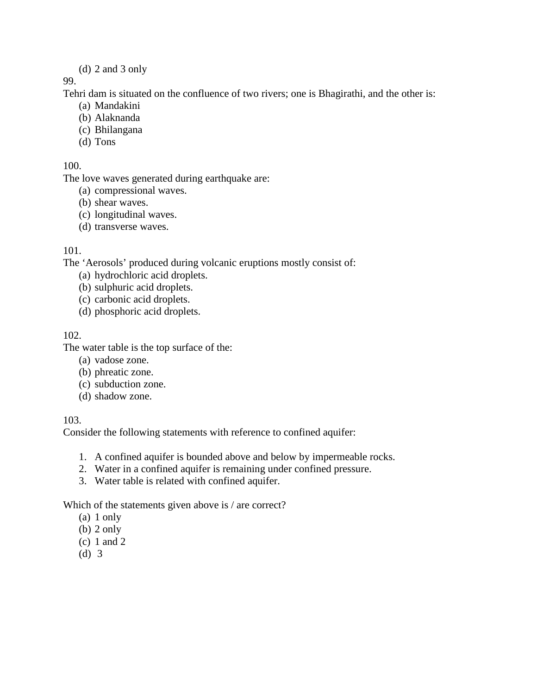#### (d) 2 and 3 only

#### 99.

Tehri dam is situated on the confluence of two rivers; one is Bhagirathi, and the other is:

- (a) Mandakini
- (b) Alaknanda
- (c) Bhilangana
- (d) Tons

#### 100.

The love waves generated during earthquake are:

- (a) compressional waves.
- (b) shear waves.
- (c) longitudinal waves.
- (d) transverse waves.

### 101.

The 'Aerosols' produced during volcanic eruptions mostly consist of:

- (a) hydrochloric acid droplets.
- (b) sulphuric acid droplets.
- (c) carbonic acid droplets.
- (d) phosphoric acid droplets.

### 102.

The water table is the top surface of the:

- (a) vadose zone.
- (b) phreatic zone.
- (c) subduction zone.
- (d) shadow zone.

103.

Consider the following statements with reference to confined aquifer:

- 1. A confined aquifer is bounded above and below by impermeable rocks.
- 2. Water in a confined aquifer is remaining under confined pressure.
- 3. Water table is related with confined aquifer.

Which of the statements given above is / are correct?

- (a) 1 only
- (b) 2 only
- (c) 1 and 2
- (d) 3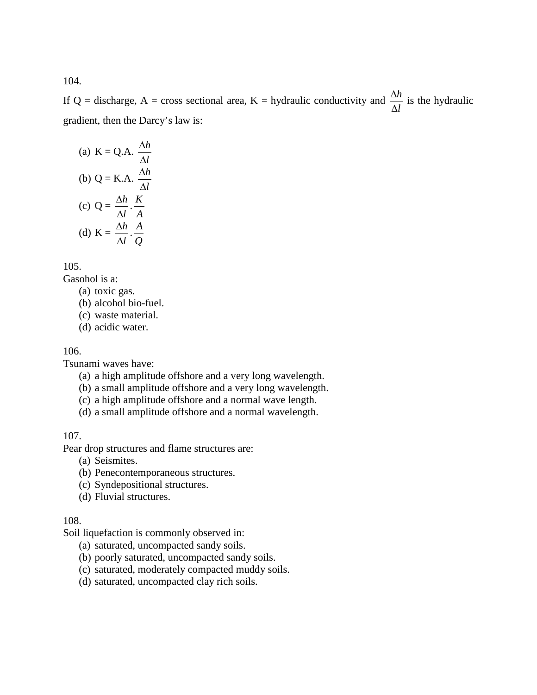If Q = discharge, A = cross sectional area, K = hydraulic conductivity and  $\frac{\Delta h}{\Delta l}$ ∆  $\frac{\Delta h}{\Delta t}$  is the hydraulic gradient, then the Darcy's law is:

(a) 
$$
K = Q.A.
$$
  $\frac{\Delta h}{\Delta l}$   
\n(b)  $Q = K.A.$   $\frac{\Delta h}{\Delta l}$   
\n(c)  $Q = \frac{\Delta h}{\Delta l} \cdot \frac{K}{A}$   
\n(d)  $K = \frac{\Delta h}{\Delta l} \cdot \frac{A}{Q}$ 

105.

Gasohol is a:

- (a) toxic gas.
- (b) alcohol bio-fuel.
- (c) waste material.
- (d) acidic water.

#### 106.

Tsunami waves have:

- (a) a high amplitude offshore and a very long wavelength.
- (b) a small amplitude offshore and a very long wavelength.
- (c) a high amplitude offshore and a normal wave length.
- (d) a small amplitude offshore and a normal wavelength.

107.

Pear drop structures and flame structures are:

- (a) Seismites.
- (b) Penecontemporaneous structures.
- (c) Syndepositional structures.
- (d) Fluvial structures.

#### 108.

Soil liquefaction is commonly observed in:

- (a) saturated, uncompacted sandy soils.
- (b) poorly saturated, uncompacted sandy soils.
- (c) saturated, moderately compacted muddy soils.
- (d) saturated, uncompacted clay rich soils.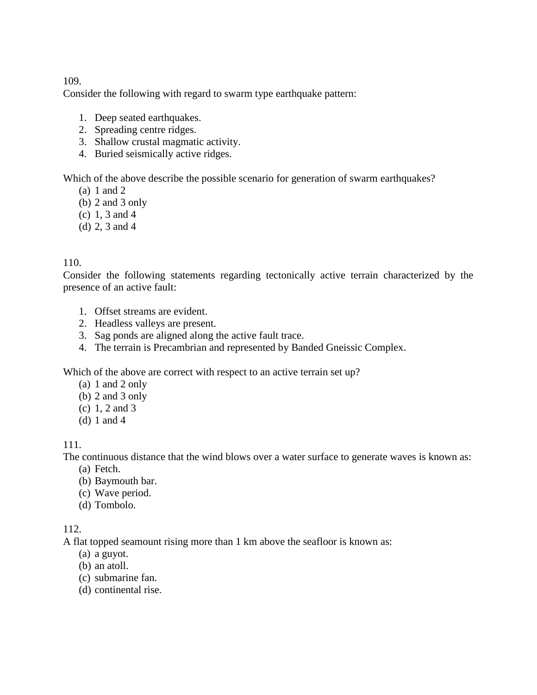Consider the following with regard to swarm type earthquake pattern:

- 1. Deep seated earthquakes.
- 2. Spreading centre ridges.
- 3. Shallow crustal magmatic activity.
- 4. Buried seismically active ridges.

Which of the above describe the possible scenario for generation of swarm earthquakes?

- (a) 1 and 2
- (b) 2 and 3 only
- (c) 1, 3 and 4
- (d) 2, 3 and 4

### 110.

Consider the following statements regarding tectonically active terrain characterized by the presence of an active fault:

- 1. Offset streams are evident.
- 2. Headless valleys are present.
- 3. Sag ponds are aligned along the active fault trace.
- 4. The terrain is Precambrian and represented by Banded Gneissic Complex.

Which of the above are correct with respect to an active terrain set up?

- (a) 1 and 2 only
- (b) 2 and 3 only
- (c) 1, 2 and 3
- (d) 1 and 4

### 111.

The continuous distance that the wind blows over a water surface to generate waves is known as:

- (a) Fetch.
- (b) Baymouth bar.
- (c) Wave period.
- (d) Tombolo.

### 112.

A flat topped seamount rising more than 1 km above the seafloor is known as:

- (a) a guyot.
- (b) an atoll.
- (c) submarine fan.
- (d) continental rise.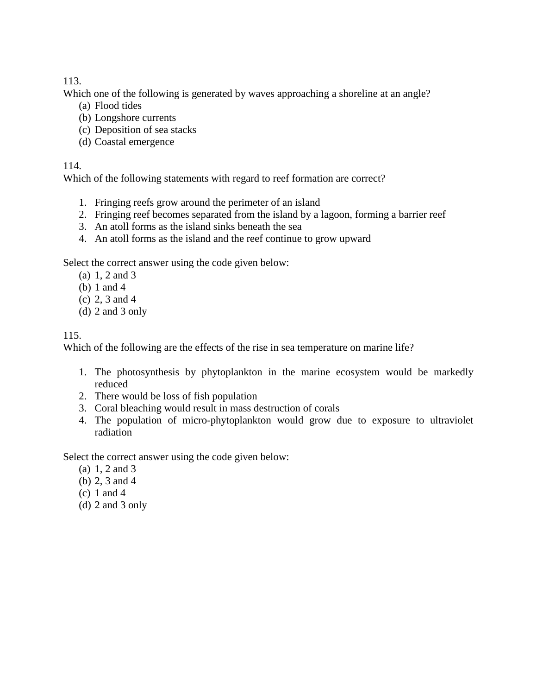Which one of the following is generated by waves approaching a shoreline at an angle?

- (a) Flood tides
- (b) Longshore currents
- (c) Deposition of sea stacks
- (d) Coastal emergence

#### 114.

Which of the following statements with regard to reef formation are correct?

- 1. Fringing reefs grow around the perimeter of an island
- 2. Fringing reef becomes separated from the island by a lagoon, forming a barrier reef
- 3. An atoll forms as the island sinks beneath the sea
- 4. An atoll forms as the island and the reef continue to grow upward

Select the correct answer using the code given below:

- (a) 1, 2 and 3
- (b) 1 and 4
- (c) 2, 3 and 4
- (d) 2 and 3 only

# 115.

Which of the following are the effects of the rise in sea temperature on marine life?

- 1. The photosynthesis by phytoplankton in the marine ecosystem would be markedly reduced
- 2. There would be loss of fish population
- 3. Coral bleaching would result in mass destruction of corals
- 4. The population of micro-phytoplankton would grow due to exposure to ultraviolet radiation

Select the correct answer using the code given below:

- (a) 1, 2 and 3
- (b) 2, 3 and 4
- (c) 1 and 4
- (d) 2 and 3 only